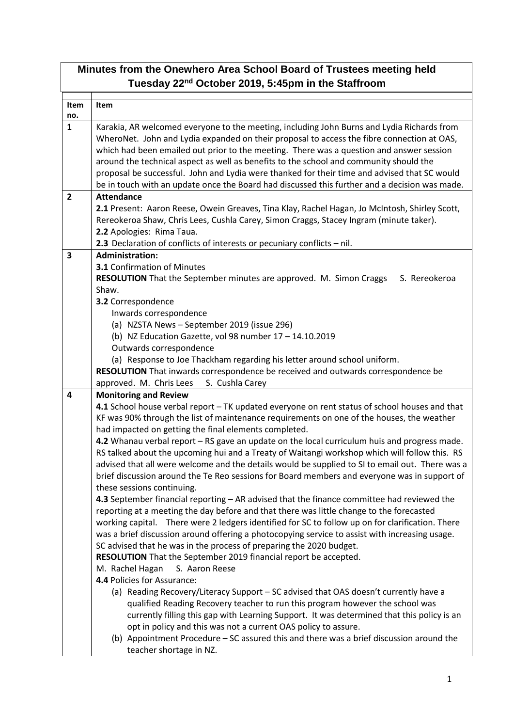## **Minutes from the Onewhero Area School Board of Trustees meeting held Tuesday 22nd October 2019, 5:45pm in the Staffroom**

| Item<br>no.    | Item                                                                                                                                                                                                                                                                                                                                                                                                                                                                           |
|----------------|--------------------------------------------------------------------------------------------------------------------------------------------------------------------------------------------------------------------------------------------------------------------------------------------------------------------------------------------------------------------------------------------------------------------------------------------------------------------------------|
| $\mathbf{1}$   | Karakia, AR welcomed everyone to the meeting, including John Burns and Lydia Richards from<br>WheroNet. John and Lydia expanded on their proposal to access the fibre connection at OAS,<br>which had been emailed out prior to the meeting. There was a question and answer session<br>around the technical aspect as well as benefits to the school and community should the<br>proposal be successful. John and Lydia were thanked for their time and advised that SC would |
|                | be in touch with an update once the Board had discussed this further and a decision was made.                                                                                                                                                                                                                                                                                                                                                                                  |
| $\overline{2}$ | <b>Attendance</b><br>2.1 Present: Aaron Reese, Owein Greaves, Tina Klay, Rachel Hagan, Jo McIntosh, Shirley Scott,<br>Rereokeroa Shaw, Chris Lees, Cushla Carey, Simon Craggs, Stacey Ingram (minute taker).<br>2.2 Apologies: Rima Taua.<br>2.3 Declaration of conflicts of interests or pecuniary conflicts - nil.                                                                                                                                                           |
| 3              | <b>Administration:</b>                                                                                                                                                                                                                                                                                                                                                                                                                                                         |
|                | <b>3.1 Confirmation of Minutes</b><br>RESOLUTION That the September minutes are approved. M. Simon Craggs<br>S. Rereokeroa<br>Shaw.                                                                                                                                                                                                                                                                                                                                            |
|                | 3.2 Correspondence                                                                                                                                                                                                                                                                                                                                                                                                                                                             |
|                | Inwards correspondence<br>(a) NZSTA News - September 2019 (issue 296)                                                                                                                                                                                                                                                                                                                                                                                                          |
|                | (b) NZ Education Gazette, vol 98 number 17 - 14.10.2019                                                                                                                                                                                                                                                                                                                                                                                                                        |
|                | Outwards correspondence                                                                                                                                                                                                                                                                                                                                                                                                                                                        |
|                | (a) Response to Joe Thackham regarding his letter around school uniform.                                                                                                                                                                                                                                                                                                                                                                                                       |
|                | RESOLUTION That inwards correspondence be received and outwards correspondence be                                                                                                                                                                                                                                                                                                                                                                                              |
|                | S. Cushla Carey<br>approved. M. Chris Lees                                                                                                                                                                                                                                                                                                                                                                                                                                     |
| 4              | <b>Monitoring and Review</b>                                                                                                                                                                                                                                                                                                                                                                                                                                                   |
|                | 4.1 School house verbal report - TK updated everyone on rent status of school houses and that<br>KF was 90% through the list of maintenance requirements on one of the houses, the weather                                                                                                                                                                                                                                                                                     |
|                | had impacted on getting the final elements completed.                                                                                                                                                                                                                                                                                                                                                                                                                          |
|                | 4.2 Whanau verbal report - RS gave an update on the local curriculum huis and progress made.                                                                                                                                                                                                                                                                                                                                                                                   |
|                | RS talked about the upcoming hui and a Treaty of Waitangi workshop which will follow this. RS                                                                                                                                                                                                                                                                                                                                                                                  |
|                | advised that all were welcome and the details would be supplied to SI to email out. There was a                                                                                                                                                                                                                                                                                                                                                                                |
|                | brief discussion around the Te Reo sessions for Board members and everyone was in support of                                                                                                                                                                                                                                                                                                                                                                                   |
|                | these sessions continuing.                                                                                                                                                                                                                                                                                                                                                                                                                                                     |
|                | 4.3 September financial reporting - AR advised that the finance committee had reviewed the                                                                                                                                                                                                                                                                                                                                                                                     |
|                | reporting at a meeting the day before and that there was little change to the forecasted<br>working capital. There were 2 ledgers identified for SC to follow up on for clarification. There                                                                                                                                                                                                                                                                                   |
|                | was a brief discussion around offering a photocopying service to assist with increasing usage.                                                                                                                                                                                                                                                                                                                                                                                 |
|                | SC advised that he was in the process of preparing the 2020 budget.                                                                                                                                                                                                                                                                                                                                                                                                            |
|                | RESOLUTION That the September 2019 financial report be accepted.                                                                                                                                                                                                                                                                                                                                                                                                               |
|                | M. Rachel Hagan<br>S. Aaron Reese                                                                                                                                                                                                                                                                                                                                                                                                                                              |
|                | 4.4 Policies for Assurance:                                                                                                                                                                                                                                                                                                                                                                                                                                                    |
|                | (a) Reading Recovery/Literacy Support - SC advised that OAS doesn't currently have a                                                                                                                                                                                                                                                                                                                                                                                           |
|                | qualified Reading Recovery teacher to run this program however the school was                                                                                                                                                                                                                                                                                                                                                                                                  |
|                | currently filling this gap with Learning Support. It was determined that this policy is an                                                                                                                                                                                                                                                                                                                                                                                     |
|                | opt in policy and this was not a current OAS policy to assure.<br>(b) Appointment Procedure - SC assured this and there was a brief discussion around the                                                                                                                                                                                                                                                                                                                      |
|                | teacher shortage in NZ.                                                                                                                                                                                                                                                                                                                                                                                                                                                        |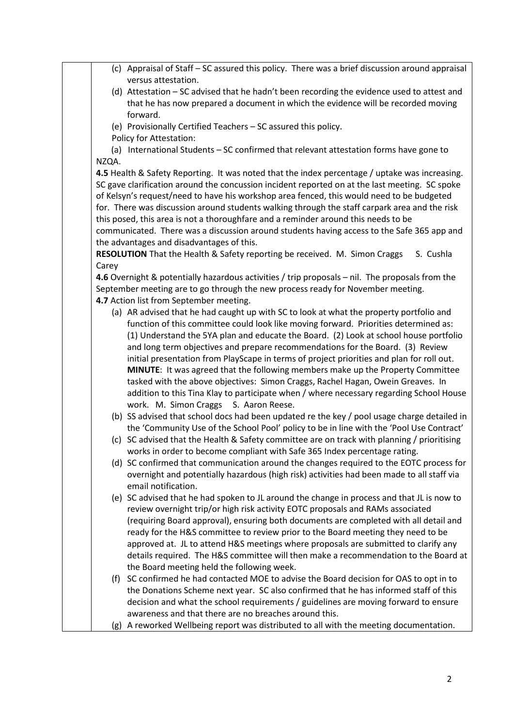| versus attestation.                                                                             |
|-------------------------------------------------------------------------------------------------|
| (d) Attestation - SC advised that he hadn't been recording the evidence used to attest and      |
| that he has now prepared a document in which the evidence will be recorded moving               |
| forward.                                                                                        |
| (e) Provisionally Certified Teachers - SC assured this policy.                                  |
| Policy for Attestation:                                                                         |
| (a) International Students - SC confirmed that relevant attestation forms have gone to          |
| NZQA.                                                                                           |
| 4.5 Health & Safety Reporting. It was noted that the index percentage / uptake was increasing.  |
| SC gave clarification around the concussion incident reported on at the last meeting. SC spoke  |
| of Kelsyn's request/need to have his workshop area fenced, this would need to be budgeted       |
| for. There was discussion around students walking through the staff carpark area and the risk   |
| this posed, this area is not a thoroughfare and a reminder around this needs to be              |
| communicated. There was a discussion around students having access to the Safe 365 app and      |
| the advantages and disadvantages of this.                                                       |
| RESOLUTION That the Health & Safety reporting be received. M. Simon Craggs<br>S. Cushla         |
| Carey                                                                                           |
| 4.6 Overnight & potentially hazardous activities / trip proposals - nil. The proposals from the |
| September meeting are to go through the new process ready for November meeting.                 |
| 4.7 Action list from September meeting.                                                         |
| (a) AR advised that he had caught up with SC to look at what the property portfolio and         |
| function of this committee could look like moving forward. Priorities determined as:            |
| (1) Understand the 5YA plan and educate the Board. (2) Look at school house portfolio           |
| and long term objectives and prepare recommendations for the Board. (3) Review                  |
| initial presentation from PlayScape in terms of project priorities and plan for roll out.       |
| MINUTE: It was agreed that the following members make up the Property Committee                 |
| tasked with the above objectives: Simon Craggs, Rachel Hagan, Owein Greaves. In                 |
| addition to this Tina Klay to participate when / where necessary regarding School House         |
| work. M. Simon Craggs S. Aaron Reese.                                                           |
| (b) SS advised that school docs had been updated re the key / pool usage charge detailed in     |
| the 'Community Use of the School Pool' policy to be in line with the 'Pool Use Contract'        |
| (c) SC advised that the Health & Safety committee are on track with planning / prioritising     |
| works in order to become compliant with Safe 365 Index percentage rating.                       |
| (d) SC confirmed that communication around the changes required to the EOTC process for         |
| overnight and potentially hazardous (high risk) activities had been made to all staff via       |
| email notification.                                                                             |
| (e) SC advised that he had spoken to JL around the change in process and that JL is now to      |
| review overnight trip/or high risk activity EOTC proposals and RAMs associated                  |
| (requiring Board approval), ensuring both documents are completed with all detail and           |
| ready for the H&S committee to review prior to the Board meeting they need to be                |
| approved at. JL to attend H&S meetings where proposals are submitted to clarify any             |
| details required. The H&S committee will then make a recommendation to the Board at             |
| the Board meeting held the following week.                                                      |
| (f) SC confirmed he had contacted MOE to advise the Board decision for OAS to opt in to         |
| the Donations Scheme next year. SC also confirmed that he has informed staff of this            |
| decision and what the school requirements / guidelines are moving forward to ensure             |
| awareness and that there are no breaches around this.                                           |
| (g) A reworked Wellbeing report was distributed to all with the meeting documentation.          |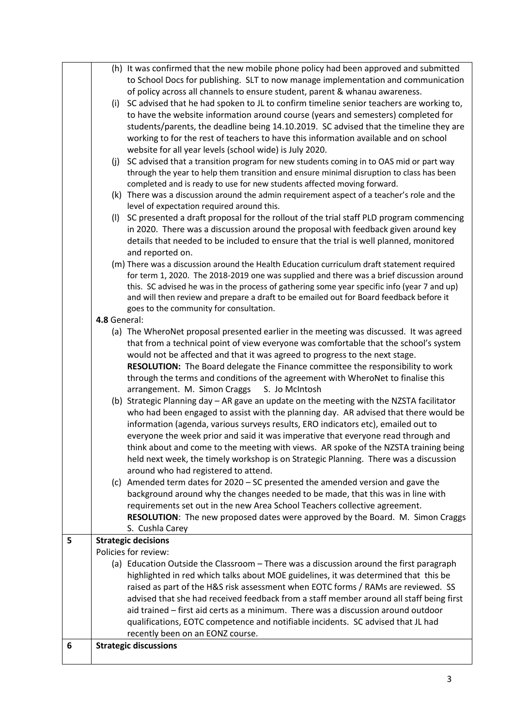|   | (h) It was confirmed that the new mobile phone policy had been approved and submitted       |
|---|---------------------------------------------------------------------------------------------|
|   | to School Docs for publishing. SLT to now manage implementation and communication           |
|   | of policy across all channels to ensure student, parent & whanau awareness.                 |
|   | (i) SC advised that he had spoken to JL to confirm timeline senior teachers are working to, |
|   | to have the website information around course (years and semesters) completed for           |
|   | students/parents, the deadline being 14.10.2019. SC advised that the timeline they are      |
|   | working to for the rest of teachers to have this information available and on school        |
|   | website for all year levels (school wide) is July 2020.                                     |
|   | (i) SC advised that a transition program for new students coming in to OAS mid or part way  |
|   | through the year to help them transition and ensure minimal disruption to class has been    |
|   | completed and is ready to use for new students affected moving forward.                     |
|   | (k) There was a discussion around the admin requirement aspect of a teacher's role and the  |
|   | level of expectation required around this.                                                  |
|   | (I) SC presented a draft proposal for the rollout of the trial staff PLD program commencing |
|   | in 2020. There was a discussion around the proposal with feedback given around key          |
|   | details that needed to be included to ensure that the trial is well planned, monitored      |
|   | and reported on.                                                                            |
|   | (m) There was a discussion around the Health Education curriculum draft statement required  |
|   | for term 1, 2020. The 2018-2019 one was supplied and there was a brief discussion around    |
|   | this. SC advised he was in the process of gathering some year specific info (year 7 and up) |
|   | and will then review and prepare a draft to be emailed out for Board feedback before it     |
|   | goes to the community for consultation.                                                     |
|   | 4.8 General:                                                                                |
|   | (a) The WheroNet proposal presented earlier in the meeting was discussed. It was agreed     |
|   | that from a technical point of view everyone was comfortable that the school's system       |
|   | would not be affected and that it was agreed to progress to the next stage.                 |
|   | RESOLUTION: The Board delegate the Finance committee the responsibility to work             |
|   | through the terms and conditions of the agreement with WheroNet to finalise this            |
|   | arrangement. M. Simon Craggs S. Jo McIntosh                                                 |
|   | (b) Strategic Planning day - AR gave an update on the meeting with the NZSTA facilitator    |
|   | who had been engaged to assist with the planning day. AR advised that there would be        |
|   | information (agenda, various surveys results, ERO indicators etc), emailed out to           |
|   | everyone the week prior and said it was imperative that everyone read through and           |
|   | think about and come to the meeting with views. AR spoke of the NZSTA training being        |
|   | held next week, the timely workshop is on Strategic Planning. There was a discussion        |
|   | around who had registered to attend.                                                        |
|   | (c) Amended term dates for 2020 - SC presented the amended version and gave the             |
|   | background around why the changes needed to be made, that this was in line with             |
|   | requirements set out in the new Area School Teachers collective agreement.                  |
|   | RESOLUTION: The new proposed dates were approved by the Board. M. Simon Craggs              |
|   | S. Cushla Carey                                                                             |
| 5 | <b>Strategic decisions</b>                                                                  |
|   | Policies for review:                                                                        |
|   | (a) Education Outside the Classroom - There was a discussion around the first paragraph     |
|   | highlighted in red which talks about MOE guidelines, it was determined that this be         |
|   | raised as part of the H&S risk assessment when EOTC forms / RAMs are reviewed. SS           |
|   | advised that she had received feedback from a staff member around all staff being first     |
|   | aid trained - first aid certs as a minimum. There was a discussion around outdoor           |
|   | qualifications, EOTC competence and notifiable incidents. SC advised that JL had            |
|   | recently been on an EONZ course.                                                            |
| 6 | <b>Strategic discussions</b>                                                                |
|   |                                                                                             |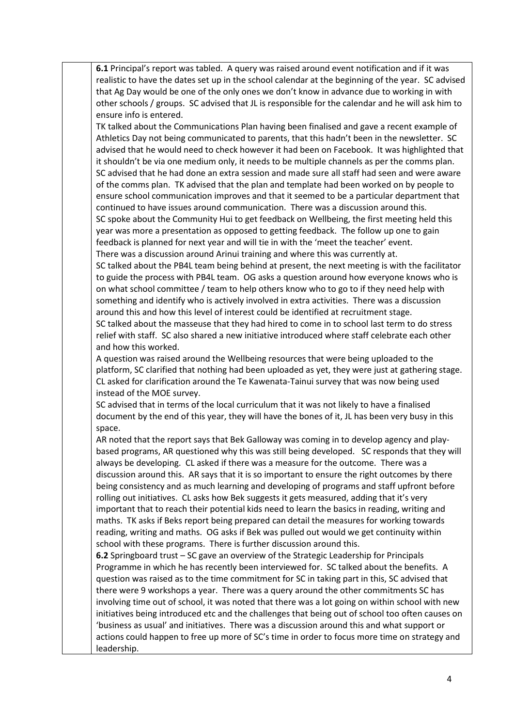**6.1** Principal's report was tabled. A query was raised around event notification and if it was realistic to have the dates set up in the school calendar at the beginning of the year. SC advised that Ag Day would be one of the only ones we don't know in advance due to working in with other schools / groups. SC advised that JL is responsible for the calendar and he will ask him to ensure info is entered.

TK talked about the Communications Plan having been finalised and gave a recent example of Athletics Day not being communicated to parents, that this hadn't been in the newsletter. SC advised that he would need to check however it had been on Facebook. It was highlighted that it shouldn't be via one medium only, it needs to be multiple channels as per the comms plan. SC advised that he had done an extra session and made sure all staff had seen and were aware of the comms plan. TK advised that the plan and template had been worked on by people to ensure school communication improves and that it seemed to be a particular department that continued to have issues around communication. There was a discussion around this. SC spoke about the Community Hui to get feedback on Wellbeing, the first meeting held this year was more a presentation as opposed to getting feedback. The follow up one to gain feedback is planned for next year and will tie in with the 'meet the teacher' event. There was a discussion around Arinui training and where this was currently at.

SC talked about the PB4L team being behind at present, the next meeting is with the facilitator to guide the process with PB4L team. OG asks a question around how everyone knows who is on what school committee / team to help others know who to go to if they need help with something and identify who is actively involved in extra activities. There was a discussion around this and how this level of interest could be identified at recruitment stage. SC talked about the masseuse that they had hired to come in to school last term to do stress relief with staff. SC also shared a new initiative introduced where staff celebrate each other

and how this worked.

A question was raised around the Wellbeing resources that were being uploaded to the platform, SC clarified that nothing had been uploaded as yet, they were just at gathering stage. CL asked for clarification around the Te Kawenata-Tainui survey that was now being used instead of the MOE survey.

SC advised that in terms of the local curriculum that it was not likely to have a finalised document by the end of this year, they will have the bones of it, JL has been very busy in this space.

AR noted that the report says that Bek Galloway was coming in to develop agency and playbased programs, AR questioned why this was still being developed. SC responds that they will always be developing. CL asked if there was a measure for the outcome. There was a discussion around this. AR says that it is so important to ensure the right outcomes by there being consistency and as much learning and developing of programs and staff upfront before rolling out initiatives. CL asks how Bek suggests it gets measured, adding that it's very important that to reach their potential kids need to learn the basics in reading, writing and maths. TK asks if Beks report being prepared can detail the measures for working towards reading, writing and maths. OG asks if Bek was pulled out would we get continuity within school with these programs. There is further discussion around this.

**6.2** Springboard trust – SC gave an overview of the Strategic Leadership for Principals Programme in which he has recently been interviewed for. SC talked about the benefits. A question was raised as to the time commitment for SC in taking part in this, SC advised that there were 9 workshops a year. There was a query around the other commitments SC has involving time out of school, it was noted that there was a lot going on within school with new initiatives being introduced etc and the challenges that being out of school too often causes on 'business as usual' and initiatives. There was a discussion around this and what support or actions could happen to free up more of SC's time in order to focus more time on strategy and leadership.